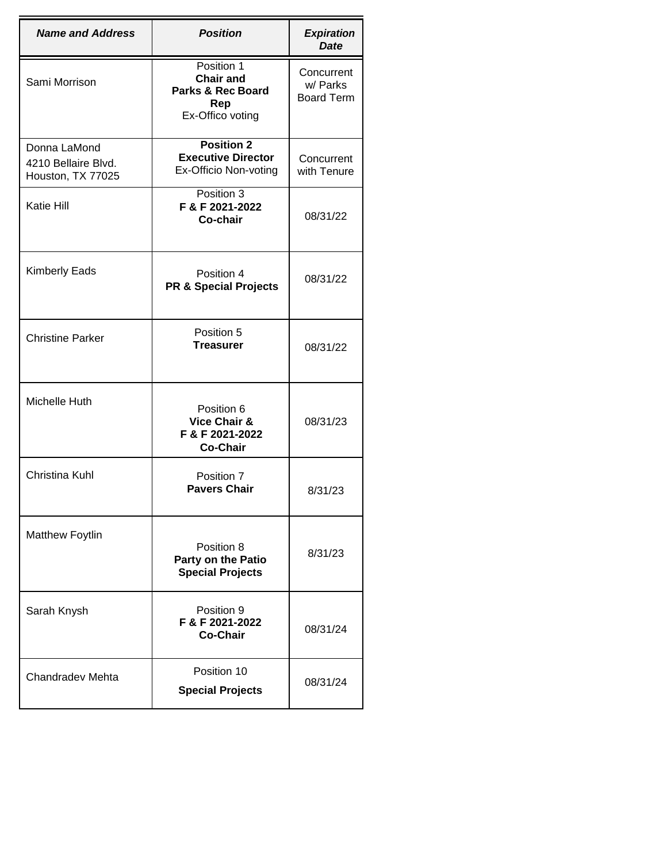| <b>Name and Address</b>                                  | <b>Position</b>                                                                           | <b>Expiration</b><br><b>Date</b>            |
|----------------------------------------------------------|-------------------------------------------------------------------------------------------|---------------------------------------------|
| Sami Morrison                                            | Position 1<br><b>Chair and</b><br><b>Parks &amp; Rec Board</b><br>Rep<br>Ex-Offico voting | Concurrent<br>w/ Parks<br><b>Board Term</b> |
| Donna LaMond<br>4210 Bellaire Blvd.<br>Houston, TX 77025 | <b>Position 2</b><br><b>Executive Director</b><br>Ex-Officio Non-voting                   | Concurrent<br>with Tenure                   |
| Katie Hill                                               | Position 3<br>F & F 2021-2022<br>Co-chair                                                 | 08/31/22                                    |
| <b>Kimberly Eads</b>                                     | Position 4<br><b>PR &amp; Special Projects</b>                                            | 08/31/22                                    |
| <b>Christine Parker</b>                                  | Position 5<br><b>Treasurer</b>                                                            | 08/31/22                                    |
| Michelle Huth                                            | Position 6<br>Vice Chair &<br>F & F 2021-2022<br><b>Co-Chair</b>                          | 08/31/23                                    |
| Christina Kuhl                                           | Position 7<br><b>Pavers Chair</b>                                                         | 8/31/23                                     |
| Matthew Foytlin                                          | Position 8<br>Party on the Patio<br><b>Special Projects</b>                               | 8/31/23                                     |
| Sarah Knysh                                              | Position 9<br>F & F 2021-2022<br><b>Co-Chair</b>                                          | 08/31/24                                    |
| Chandradev Mehta                                         | Position 10<br><b>Special Projects</b>                                                    | 08/31/24                                    |